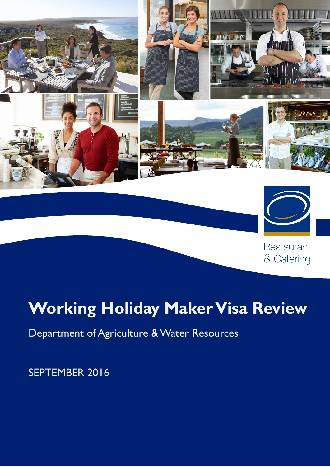

# **Working Holiday Maker Visa Review**

# Department of Agriculture & Water Resources

# SEPTEMBER 2016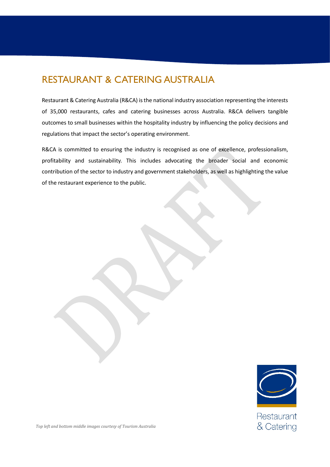### RESTAURANT & CATERING AUSTRALIA

Restaurant & Catering Australia (R&CA) is the national industry association representing the interests of 35,000 restaurants, cafes and catering businesses across Australia. R&CA delivers tangible outcomes to small businesses within the hospitality industry by influencing the policy decisions and regulations that impact the sector's operating environment.

R&CA is committed to ensuring the industry is recognised as one of excellence, professionalism, profitability and sustainability. This includes advocating the broader social and economic contribution of the sector to industry and government stakeholders, as well as highlighting the value of the restaurant experience to the public.



Restaurant & Catering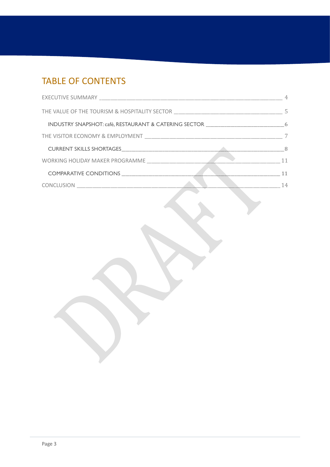## TABLE OF CONTENTS

|                                                                                   | 4   |
|-----------------------------------------------------------------------------------|-----|
| THE VALUE OF THE TOURISM & HOSPITALITY SECTOR ___________________________________ | .5  |
| INDUSTRY SNAPSHOT: café, RESTAURANT & CATERING SECTOR __________________________  | 6   |
|                                                                                   |     |
|                                                                                   | - 8 |
| WORKING HOLIDAY MAKER PROGRAMME                                                   | 11  |
|                                                                                   | 11  |
|                                                                                   | 14  |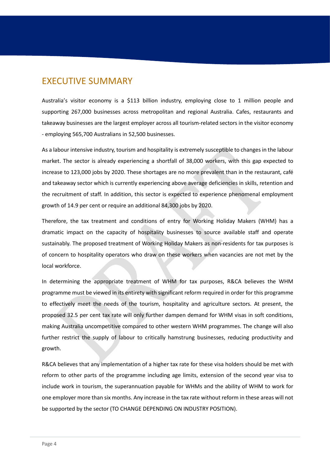### <span id="page-3-0"></span>EXECUTIVE SUMMARY

Australia's visitor economy is a \$113 billion industry, employing close to 1 million people and supporting 267,000 businesses across metropolitan and regional Australia. Cafes, restaurants and takeaway businesses are the largest employer across all tourism-related sectors in the visitor economy - employing 565,700 Australians in 52,500 businesses.

As a labour intensive industry, tourism and hospitality is extremely susceptible to changes in the labour market. The sector is already experiencing a shortfall of 38,000 workers, with this gap expected to increase to 123,000 jobs by 2020. These shortages are no more prevalent than in the restaurant, café and takeaway sector which is currently experiencing above average deficiencies in skills, retention and the recruitment of staff. In addition, this sector is expected to experience phenomenal employment growth of 14.9 per cent or require an additional 84,300 jobs by 2020.

Therefore, the tax treatment and conditions of entry for Working Holiday Makers (WHM) has a dramatic impact on the capacity of hospitality businesses to source available staff and operate sustainably. The proposed treatment of Working Holiday Makers as non-residents for tax purposes is of concern to hospitality operators who draw on these workers when vacancies are not met by the local workforce.

In determining the appropriate treatment of WHM for tax purposes, R&CA believes the WHM programme must be viewed in its entirety with significant reform required in order for this programme to effectively meet the needs of the tourism, hospitality and agriculture sectors. At present, the proposed 32.5 per cent tax rate will only further dampen demand for WHM visas in soft conditions, making Australia uncompetitive compared to other western WHM programmes. The change will also further restrict the supply of labour to critically hamstrung businesses, reducing productivity and growth.

R&CA believes that any implementation of a higher tax rate for these visa holders should be met with reform to other parts of the programme including age limits, extension of the second year visa to include work in tourism, the superannuation payable for WHMs and the ability of WHM to work for one employer more than six months. Any increase in the tax rate without reform in these areas will not be supported by the sector (TO CHANGE DEPENDING ON INDUSTRY POSITION).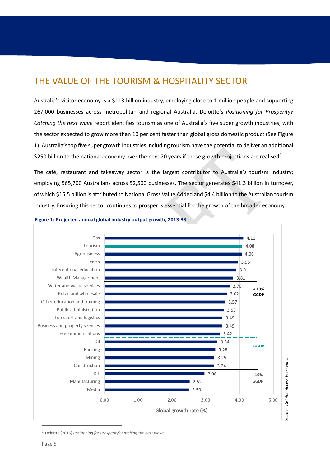### <span id="page-4-0"></span>THE VALUE OF THE TOURISM & HOSPITALITY SECTOR

Australia's visitor economy is a \$113 billion industry, employing close to 1 million people and supporting 267,000 businesses across metropolitan and regional Australia. Deloitte's *Positioning for Prosperity? Catching the next wave* report identifies tourism as one of Australia's five super growth industries, with the sector expected to grow more than 10 per cent faster than global gross domestic product (See Figure 1). Australia's top five super growth industries including tourism have the potential to deliver an additional \$250 billion to the national economy over the next 20 years if these growth projections are realised<sup>[1](#page-4-1)</sup>.

The café, restaurant and takeaway sector is the largest contributor to Australia's tourism industry; employing 565,700 Australians across 52,500 businesses. The sector generates \$41.3 billion in turnover, of which \$15.5 billion is attributed to National Gross Value Added and \$4.4 billion to the Australian tourism industry. Ensuring this sector continues to prosper is essential for the growth of the broader economy.



#### **Figure 1: Projected annual global industry output growth, 2013-33**

<span id="page-4-1"></span><sup>1</sup> Deloitte (2013) *Positioning for Prosperity? Catching the next wave*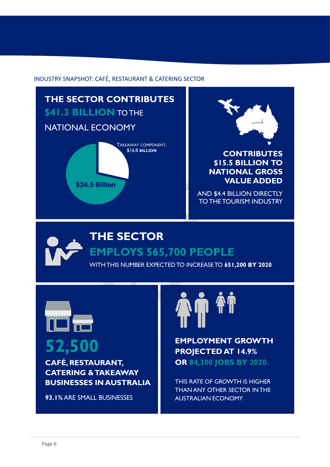#### <span id="page-5-0"></span>INDUSTRY SNAPSHOT: CAFÉ, RESTAURANT & CATERING SECTOR



### **\$15.5 BILLION TO NATIONAL GROSS VALUE ADDED**

 AND \$4.4 BILLION DIRECTLY TO THE TOURISM INDUSTRY



# **THE SECTOR EMPLOYS 565,700 PEOPLE**

WITH THIS NUMBER EXPECTED TO INCREASE TO **651,200 BY 2020**



**CAFÉ, RESTAURANT, CATERING & TAKEAWAY BUSINESSES IN AUSTRALIA**

**93.1%** ARE SMALL BUSINESSES



**52,500 EMPLOYMENT GROWTH PROJECTED AT 14.9% PROJECTED AT 14.9% OR 84,300 JOBS BY 2020.**

> THIS RATE OF GROWTH IS HIGHER THAN ANY OTHER SECTOR IN THE AUSTRALIAN ECONOMY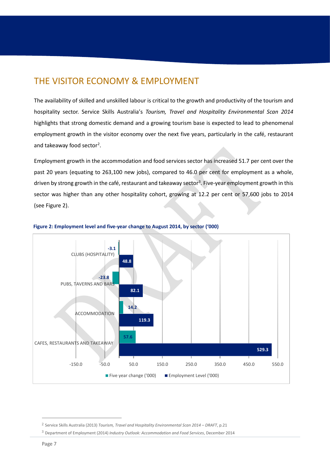### <span id="page-6-0"></span>THE VISITOR ECONOMY & EMPLOYMENT

The availability of skilled and unskilled labour is critical to the growth and productivity of the tourism and hospitality sector. Service Skills Australia's *Tourism, Travel and Hospitality Environmental Scan 2014* highlights that strong domestic demand and a growing tourism base is expected to lead to phenomenal employment growth in the visitor economy over the next five years, particularly in the café, restaurant and takeaway food sector<sup>[2](#page-6-1)</sup>.

Employment growth in the accommodation and food services sector has increased 51.7 per cent over the past 20 years (equating to 263,100 new jobs), compared to 46.0 per cent for employment as a whole, driven by strong growth in the café, restaurant and takeaway sector<sup>[3](#page-6-2)</sup>. Five-year employment growth in this sector was higher than any other hospitality cohort, growing at 12.2 per cent or 57,600 jobs to 2014 (see Figure 2).



#### **Figure 2: Employment level and five-year change to August 2014, by sector ('000)**

<span id="page-6-1"></span><sup>2</sup> Service Skills Australia (2013) *Tourism, Travel and Hospitality Environmental Scan 2014 – DRAFT*, p.21

<span id="page-6-2"></span><sup>3</sup> Department of Employment (2014) *Industry Outlook: Accommodation and Food Services*, December 2014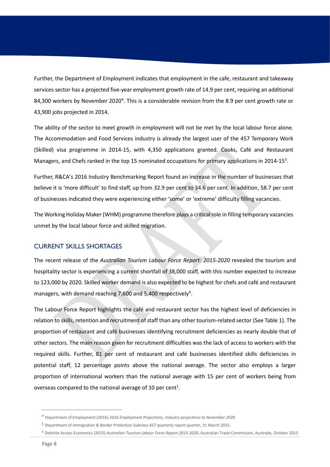Further, the Department of Employment indicates that employment in the cafe, restaurant and takeaway services sector has a projected five-year employment growth rate of 14.9 per cent, requiring an additional 8[4](#page-7-1),300 workers by November 2020<sup>4</sup>. This is a considerable revision from the 8.9 per cent growth rate or 43,900 jobs projected in 2014.

The ability of the sector to meet growth in employment will not be met by the local labour force alone. The Accommodation and Food Services industry is already the largest user of the 457 Temporary Work (Skilled) visa programme in 2014-15, with 4,350 applications granted. Cooks, Café and Restaurant Managers, and Chefs ranked in the top 15 nominated occupations for primary applications in 2014-15<sup>5</sup>.

Further, R&CA's 2016 Industry Benchmarking Report found an increase in the number of businesses that believe it is 'more difficult' to find staff, up from 32.9 per cent to 34.6 per cent. In addition, 58.7 per cent of businesses indicated they were experiencing either 'some' or 'extreme' difficulty filling vacancies.

The Working Holiday Maker (WHM) programme therefore plays a critical role in filling temporary vacancies unmet by the local labour force and skilled migration.

#### <span id="page-7-0"></span>CURRENT SKILLS SHORTAGES

The recent release of the *Australian Tourism Labour Force Report: 2015-2020* revealed the tourism and hospitality sector is experiencing a current shortfall of 38,000 staff, with this number expected to increase to 123,000 by 2020. Skilled worker demand is also expected to be highest for chefs and café and restaurant managers, with demand reaching 7,[6](#page-7-3)00 and 5,400 respectively<sup>6</sup>.

The Labour Force Report highlights the café and restaurant sector has the highest level of deficiencies in relation to skills, retention and recruitment of staff than any other tourism-related sector (See Table 1). The proportion of restaurant and café businesses identifying recruitment deficiencies as nearly double that of other sectors. The main reason given for recruitment difficulties was the lack of access to workers with the required skills. Further, 81 per cent of restaurant and café businesses identified skills deficiencies in potential staff, 12 percentage points above the national average. The sector also employs a larger proportion of international workers than the national average with 15 per cent of workers being from overseas compared to the national average of 10 per cent<sup>1</sup>.

<span id="page-7-1"></span><sup>4</sup> Department of Employment (2016) *2016 Employment Projections, Industry projections to November 2020*

<span id="page-7-2"></span><sup>5</sup> Department of Immigration & Border Protection *Subclass 457 quarterly report quarter*, 31 March 2015.

<span id="page-7-3"></span><sup>6</sup> Deloitte Access Economics (2015) *Australian Tourism Labour Force Report:2015-2020*, Australian Trade Commission, Austrade, October 2015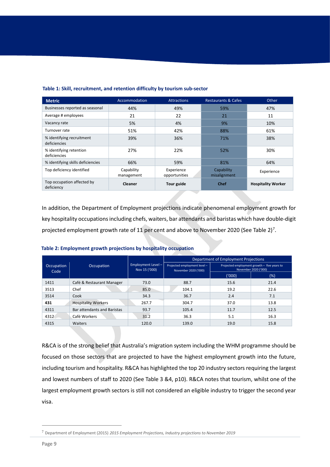| <b>Metric</b>                             | Accommodation            | <b>Attractions</b>          | <b>Restaurants &amp; Cafes</b> | Other                     |
|-------------------------------------------|--------------------------|-----------------------------|--------------------------------|---------------------------|
| Businesses reported as seasonal           | 44%                      | 49%                         | 59%                            | 47%                       |
| Average # employees                       | 21                       | 22                          | 21                             | 11                        |
| Vacancy rate                              | 5%                       | 4%                          | 9%                             | 10%                       |
| Turnover rate                             | 51%                      | 42%                         | 88%                            | 61%                       |
| % identifying recruitment<br>deficiencies | 39%                      | 36%                         | 71%                            | 38%                       |
| % identifying retention<br>deficiencies   | 27%                      | 22%                         | 52%                            | 30%                       |
| % identifying skills deficiencies         | 66%                      | 59%                         | 81%                            | 64%                       |
| Top deficiency identified                 | Capability<br>management | Experience<br>opportunities | Capability<br>misalignment     | Experience                |
| Top occupation affected by<br>deficiency  | Cleaner                  | Tour guide                  | <b>Chef</b>                    | <b>Hospitality Worker</b> |

#### **Table 1: Skill, recruitment, and retention difficulty by tourism sub-sector**

In addition, the Department of Employment projections indicate phenomenal employment growth for key hospitality occupations including chefs, waiters, bar attendants and baristas which have double-digit projected employment growth rate of 11 per cent and above to November 2020 (See Table 2)<sup>[7](#page-8-0)</sup>.

|                    |                             |                                     | Department of Employment Projections                 |                                                                     |      |  |
|--------------------|-----------------------------|-------------------------------------|------------------------------------------------------|---------------------------------------------------------------------|------|--|
| Occupation<br>Code | Occupation                  | Employment Level -<br>Nov 15 ('000) | Projected employment level -<br>November 2020 ('000) | Projected employment growth - five years to<br>November 2020 ('000) |      |  |
|                    |                             |                                     |                                                      | ('000)                                                              | (%)  |  |
| 1411               | Café & Restaurant Manager   | 73.0                                | 88.7                                                 | 15.6                                                                | 21.4 |  |
| 3513               | Chef                        | 85.0                                | 104.1                                                | 19.2                                                                | 22.6 |  |
| 3514               | Cook                        | 34.3                                | 36.7                                                 | 2.4                                                                 | 7.1  |  |
| 431                | <b>Hospitality Workers</b>  | 267.7                               | 304.7                                                | 37.0                                                                | 13.8 |  |
| 4311               | Bar attendants and Baristas | 93.7                                | 105.4                                                | 11.7                                                                | 12.5 |  |
| 4312               | Café Workers                | 31.2                                | 36.3                                                 | 5.1                                                                 | 16.3 |  |
| 4315               | Waiters                     | 120.0                               | 139.0                                                | 19.0                                                                | 15.8 |  |

#### **Table 2: Employment growth projections by hospitality occupation**

R&CA is of the strong belief that Australia's migration system including the WHM programme should be focused on those sectors that are projected to have the highest employment growth into the future, including tourism and hospitality. R&CA has highlighted the top 20 industry sectors requiring the largest and lowest numbers of staff to 2020 (See Table 3 &4, p10). R&CA notes that tourism, whilst one of the largest employment growth sectors is still not considered an eligible industry to trigger the second year visa.

<span id="page-8-0"></span><sup>7</sup> Department of Employment (2015) *2015 Employment Projections, Industry projections to November 2019*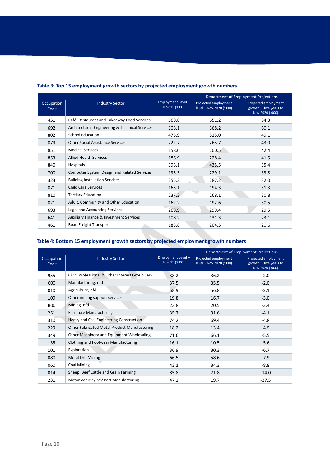|                    |                                                    | Employment Level-<br>Nov 15 ('000) | Department of Employment Projections            |                                                                     |  |
|--------------------|----------------------------------------------------|------------------------------------|-------------------------------------------------|---------------------------------------------------------------------|--|
| Occupation<br>Code | <b>Industry Sector</b>                             |                                    | Projected employment<br>level - Nov 2020 ('000) | Projected employment<br>growth $-$ five years to<br>Nov 2020 ('000) |  |
| 451                | Café, Restaurant and Takeaway Food Services        | 568.8                              | 651.2                                           | 84.3                                                                |  |
| 692                | Architectural, Engineering & Technical Services    | 308.1                              | 368.2                                           | 60.1                                                                |  |
| 802                | <b>School Education</b>                            | 475.9                              | 525.0                                           | 49.1                                                                |  |
| 879                | <b>Other Social Assistance Services</b>            | 222.7                              | 265.7                                           | 43.0                                                                |  |
| 851                | <b>Medical Services</b>                            | 158.0                              | 200.5                                           | 42.4                                                                |  |
| 853                | <b>Allied Health Services</b>                      | 186.9                              | 228.4                                           | 41.5                                                                |  |
| 840                | Hospitals                                          | 398.1                              | 435.5                                           | 35.4                                                                |  |
| 700                | Computer System Design and Related Services        | 195.3                              | 229.1                                           | 33.8                                                                |  |
| 323                | <b>Building Installation Services</b>              | 255.2                              | 287.2                                           | 32.0                                                                |  |
| 871                | <b>Child Care Services</b>                         | 163.1                              | 194.3                                           | 31.3                                                                |  |
| 810                | <b>Tertiary Education</b>                          | 237.3                              | 268.1                                           | 30.8                                                                |  |
| 821                | Adult, Community and Other Education               | 162.2                              | 192.6                                           | 30.5                                                                |  |
| 693                | Legal and Accounting Services                      | 269.9                              | 299.4                                           | 29.5                                                                |  |
| 641                | <b>Auxiliary Finance &amp; Investment Services</b> | 108.2                              | 131.3                                           | 23.1                                                                |  |
| 461                | Road Freight Transport                             | 183.8                              | 204.5                                           | 20.6                                                                |  |

#### **Table 3: Top 15 employment growth sectors by projected employment growth numbers**

### **Table 4: Bottom 15 employment growth sectors by projected employment growth numbers**

|                    |                                                  |                                     | Department of Employment Projections            |                                                                     |  |
|--------------------|--------------------------------------------------|-------------------------------------|-------------------------------------------------|---------------------------------------------------------------------|--|
| Occupation<br>Code | <b>Industry Sector</b>                           | Employment Level -<br>Nov 15 ('000) | Projected employment<br>level - Nov 2020 ('000) | Projected employment<br>growth $-$ five years to<br>Nov 2020 ('000) |  |
| 955                | Civic, Professional & Other Interest Group Serv. | 38.2                                | 36.2                                            | $-2.0$                                                              |  |
| C <sub>0</sub>     | Manufacturing, nfd                               | 37.5                                | 35.5                                            | $-2.0$                                                              |  |
| 010                | Agriculture, nfd                                 | 58.9                                | 56.8                                            | $-2.1$                                                              |  |
| 109                | Other mining support services                    | 19.8                                | 16.7                                            | $-3.0$                                                              |  |
| <b>B00</b>         | Mining, nfd                                      | 23.8                                | 20.5                                            | $-3.4$                                                              |  |
| 251                | <b>Furniture Manufacturing</b>                   | 35.7                                | 31.6                                            | $-4.1$                                                              |  |
| 310                | Heavy and Civil Engineering Construction         | 74.2                                | 69.4                                            | $-4.8$                                                              |  |
| 229                | Other Fabricated Metal Product Manufacturing     | 18.2                                | 13.4                                            | $-4.9$                                                              |  |
| 349                | Other Machinery and Equipment Wholesaling        | 71.6                                | 66.1                                            | $-5.5$                                                              |  |
| 135                | Clothing and Footwear Manufacturing              | 16.1                                | 10.5                                            | $-5.6$                                                              |  |
| 101                | Exploration                                      | 36.9                                | 30.3                                            | $-6.7$                                                              |  |
| 080                | <b>Metal Ore Mining</b>                          | 66.5                                | 58.6                                            | $-7.9$                                                              |  |
| 060                | <b>Coal Mining</b>                               | 43.1                                | 34.3                                            | $-8.8$                                                              |  |
| 014                | Sheep, Beef Cattle and Grain Farming             | 85.8                                | 71.8                                            | $-14.0$                                                             |  |
| 231                | Motor Vehicle/ MV Part Manufacturing             | 47.2                                | 19.7                                            | $-27.5$                                                             |  |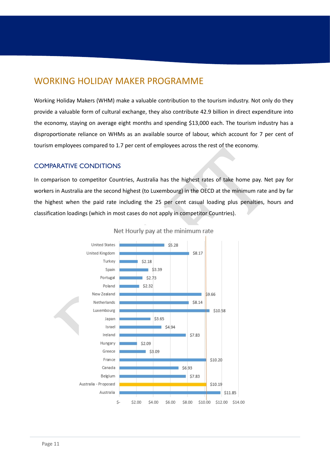### <span id="page-10-0"></span>WORKING HOLIDAY MAKER PROGRAMME

Working Holiday Makers (WHM) make a valuable contribution to the tourism industry. Not only do they provide a valuable form of cultural exchange, they also contribute 42.9 billion in direct expenditure into the economy, staying on average eight months and spending \$13,000 each. The tourism industry has a disproportionate reliance on WHMs as an available source of labour, which account for 7 per cent of tourism employees compared to 1.7 per cent of employees across the rest of the economy.

### <span id="page-10-1"></span>COMPARATIVE CONDITIONS

In comparison to competitor Countries, Australia has the highest rates of take home pay. Net pay for workers in Australia are the second highest (to Luxembourg) in the OECD at the minimum rate and by far the highest when the paid rate including the 25 per cent casual loading plus penalties, hours and classification loadings (which in most cases do not apply in competitor Countries).



Net Hourly pay at the minimum rate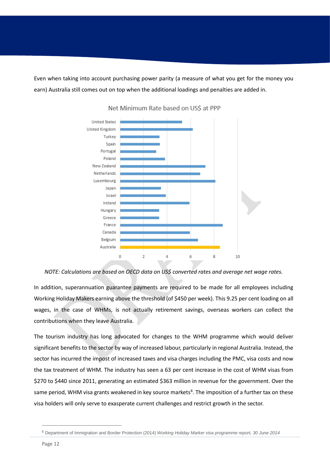Even when taking into account purchasing power parity (a measure of what you get for the money you earn) Australia still comes out on top when the additional loadings and penalties are added in.



Net Minimum Rate based on US\$ at PPP

*NOTE: Calculations are based on OECD data on US\$ converted rates and average net wage rates.*

In addition, superannuation guarantee payments are required to be made for all employees including Working Holiday Makers earning above the threshold (of \$450 per week). This 9.25 per cent loading on all wages, in the case of WHMs, is not actually retirement savings, overseas workers can collect the contributions when they leave Australia.

The tourism industry has long advocated for changes to the WHM programme which would deliver significant benefits to the sector by way of increased labour, particularly in regional Australia. Instead, the sector has incurred the impost of increased taxes and visa charges including the PMC, visa costs and now the tax treatment of WHM. The industry has seen a 63 per cent increase in the cost of WHM visas from \$270 to \$440 since 2011, generating an estimated \$363 million in revenue for the government. Over the same period, WHM visa grants weakened in key source markets<sup>[8](#page-11-0)</sup>. The imposition of a further tax on these visa holders will only serve to exasperate current challenges and restrict growth in the sector.

<span id="page-11-0"></span><sup>8</sup> Department of Immigration and Border Protection (2014) *Working Holiday Marker visa programme report, 30 June 2014*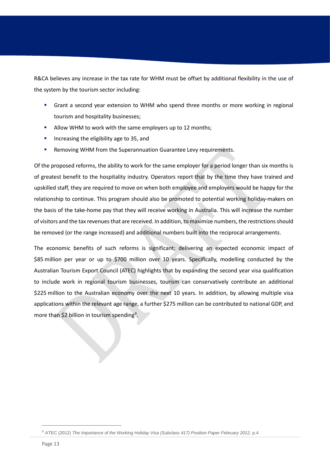R&CA believes any increase in the tax rate for WHM must be offset by additional flexibility in the use of the system by the tourism sector including:

- Grant a second year extension to WHM who spend three months or more working in regional tourism and hospitality businesses;
- Allow WHM to work with the same employers up to 12 months;
- Increasing the eligibility age to 35, and
- **Removing WHM from the Superannuation Guarantee Levy requirements.**

Of the proposed reforms, the ability to work for the same employer for a period longer than six months is of greatest benefit to the hospitality industry. Operators report that by the time they have trained and upskilled staff, they are required to move on when both employee and employers would be happy for the relationship to continue. This program should also be promoted to potential working holiday-makers on the basis of the take-home pay that they will receive working in Australia. This will increase the number of visitors and the tax revenues that are received. In addition, to maximize numbers, the restrictions should be removed (or the range increased) and additional numbers built into the reciprocal arrangements.

The economic benefits of such reforms is significant; delivering an expected economic impact of \$85 million per year or up to \$700 million over 10 years. Specifically, modelling conducted by the Australian Tourism Export Council (ATEC) highlights that by expanding the second year visa qualification to include work in regional tourism businesses, tourism can conservatively contribute an additional \$225 million to the Australian economy over the next 10 years. In addition, by allowing multiple visa applications within the relevant age range, a further \$275 million can be contributed to national GDP, and more than \$2 billion in tourism spending<sup>[9](#page-12-0)</sup>.

<span id="page-12-0"></span><sup>&</sup>lt;sup>9</sup> ATEC (2012) *The Importance of the Working Holiday Visa (Subclass 417) Position Paper February 2012, p.4*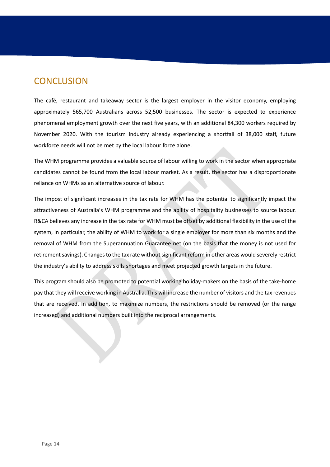### <span id="page-13-0"></span>**CONCLUSION**

The café, restaurant and takeaway sector is the largest employer in the visitor economy, employing approximately 565,700 Australians across 52,500 businesses. The sector is expected to experience phenomenal employment growth over the next five years, with an additional 84,300 workers required by November 2020. With the tourism industry already experiencing a shortfall of 38,000 staff, future workforce needs will not be met by the local labour force alone.

The WHM programme provides a valuable source of labour willing to work in the sector when appropriate candidates cannot be found from the local labour market. As a result, the sector has a disproportionate reliance on WHMs as an alternative source of labour.

The impost of significant increases in the tax rate for WHM has the potential to significantly impact the attractiveness of Australia's WHM programme and the ability of hospitality businesses to source labour. R&CA believes any increase in the tax rate for WHM must be offset by additional flexibility in the use of the system, in particular, the ability of WHM to work for a single employer for more than six months and the removal of WHM from the Superannuation Guarantee net (on the basis that the money is not used for retirement savings). Changes to the tax rate without significant reform in other areas would severely restrict the industry's ability to address skills shortages and meet projected growth targets in the future.

This program should also be promoted to potential working holiday-makers on the basis of the take-home pay that they will receive working in Australia. This will increase the number of visitors and the tax revenues that are received. In addition, to maximize numbers, the restrictions should be removed (or the range increased) and additional numbers built into the reciprocal arrangements.